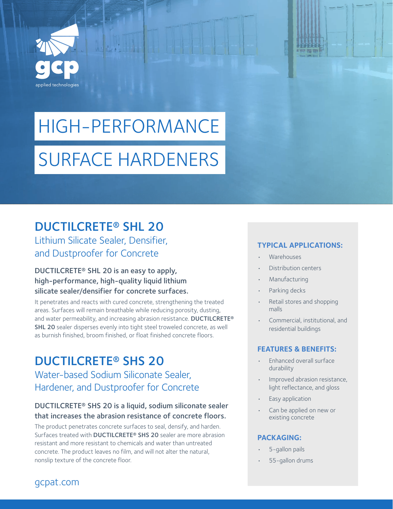

# HIGH-PERFORMANCE SURFACE HARDENERS

## DUCTILCRETE® SHL 20

Lithium Silicate Sealer, Densifier, and Dustproofer for Concrete

#### DUCTILCRETE® SHL 20 is an easy to apply, high-performance, high-quality liquid lithium silicate sealer/densifier for concrete surfaces.

It penetrates and reacts with cured concrete, strengthening the treated areas. Surfaces will remain breathable while reducing porosity, dusting, and water permeability, and increasing abrasion resistance. DUCTILCRETE® SHL 20 sealer disperses evenly into tight steel troweled concrete, as well as burnish finished, broom finished, or float finished concrete floors.

## DUCTILCRETE® SHS 20 Water-based Sodium Siliconate Sealer, Hardener, and Dustproofer for Concrete

#### DUCTILCRETE® SHS 20 is a liquid, sodium siliconate sealer that increases the abrasion resistance of concrete floors.

The product penetrates concrete surfaces to seal, densify, and harden. Surfaces treated with DUCTILCRETE® SHS 20 sealer are more abrasion resistant and more resistant to chemicals and water than untreated concrete. The product leaves no film, and will not alter the natural, nonslip texture of the concrete floor.

#### **TYPICAL APPLICATIONS:**

- Warehouses
- Distribution centers
- Manufacturing
- Parking decks
- Retail stores and shopping malls
- Commercial, institutional, and residential buildings

#### **FEATURES & BENEFITS:**

- Enhanced overall surface durability
- Improved abrasion resistance, light reflectance, and gloss
- Easy application
- Can be applied on new or existing concrete

#### **PACKAGING:**

- 5-gallon pails
- 55-gallon drums

#### gcpat.com